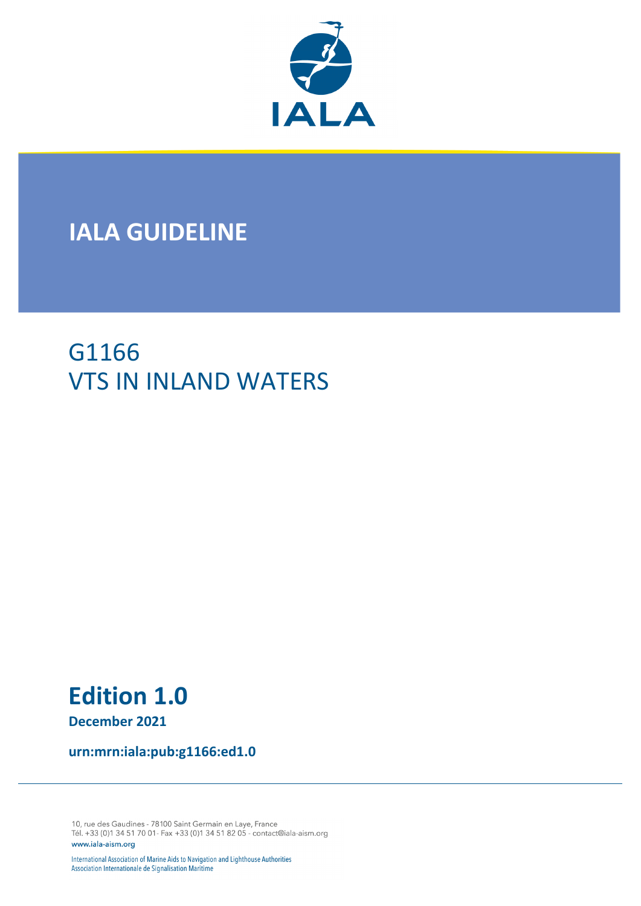

# **IALA GUIDELINE**

# G1166 VTS IN INLAND WATERS

# **Edition 1.0**

**December 2021**

**urn:mrn:iala:pub:g1166:ed1.0**

10, rue des Gaudines - 78100 Saint Germain en Laye, France Tél. +33 (0)1 34 51 70 01- Fax +33 (0)1 34 51 82 05 - contact@iala-aism.org www.iala-aism.org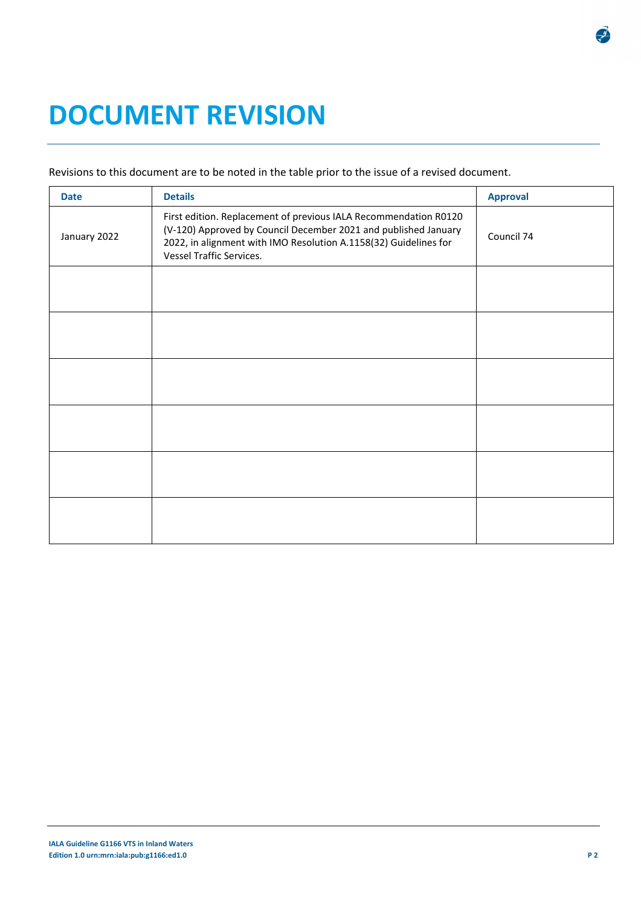# **DOCUMENT REVISION**

## Revisions to this document are to be noted in the table prior to the issue of a revised document.

| <b>Date</b>  | <b>Details</b>                                                                                                                                                                                                                             | <b>Approval</b> |
|--------------|--------------------------------------------------------------------------------------------------------------------------------------------------------------------------------------------------------------------------------------------|-----------------|
| January 2022 | First edition. Replacement of previous IALA Recommendation R0120<br>(V-120) Approved by Council December 2021 and published January<br>2022, in alignment with IMO Resolution A.1158(32) Guidelines for<br><b>Vessel Traffic Services.</b> | Council 74      |
|              |                                                                                                                                                                                                                                            |                 |
|              |                                                                                                                                                                                                                                            |                 |
|              |                                                                                                                                                                                                                                            |                 |
|              |                                                                                                                                                                                                                                            |                 |
|              |                                                                                                                                                                                                                                            |                 |
|              |                                                                                                                                                                                                                                            |                 |

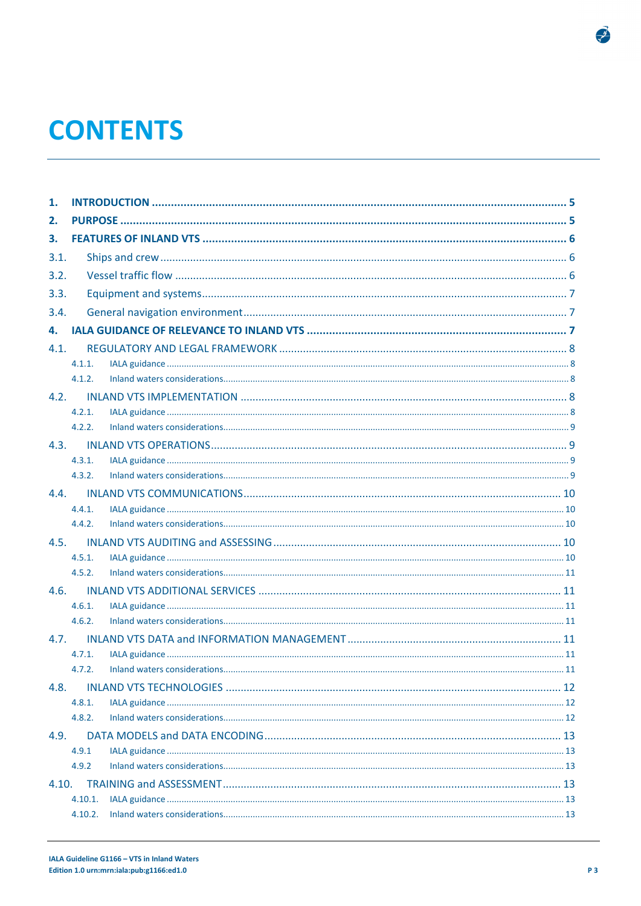# **CONTENTS**

| 1.    |                    |  |  |
|-------|--------------------|--|--|
| 2.    |                    |  |  |
| 3.    |                    |  |  |
| 3.1.  |                    |  |  |
| 3.2.  |                    |  |  |
| 3.3.  |                    |  |  |
| 3.4.  |                    |  |  |
| 4.    |                    |  |  |
| 4.1.  |                    |  |  |
|       | 4.1.1.             |  |  |
|       | 4.1.2.             |  |  |
| 4.2.  |                    |  |  |
|       | 4.2.1.             |  |  |
|       | 4.2.2.             |  |  |
| 4.3.  |                    |  |  |
|       | 4.3.1.             |  |  |
|       | 4.3.2.             |  |  |
| 4.4.  |                    |  |  |
|       | 4.4.1.             |  |  |
|       | 4.4.2.             |  |  |
| 4.5.  |                    |  |  |
|       | 4.5.1.             |  |  |
|       | 4.5.2.             |  |  |
| 4.6.  |                    |  |  |
|       | 4.6.1.             |  |  |
|       | 4.6.2.             |  |  |
| 4.7   |                    |  |  |
|       | 4.7.1.             |  |  |
|       | 4.7.2.             |  |  |
| 4.8.  |                    |  |  |
|       | 4.8.1.             |  |  |
|       | 4.8.2.             |  |  |
| 4.9.  |                    |  |  |
|       | 4.9.1<br>4.9.2     |  |  |
|       |                    |  |  |
| 4.10. |                    |  |  |
|       | 4.10.1.<br>4.10.2. |  |  |
|       |                    |  |  |

 $\frac{1}{\sqrt{2}}$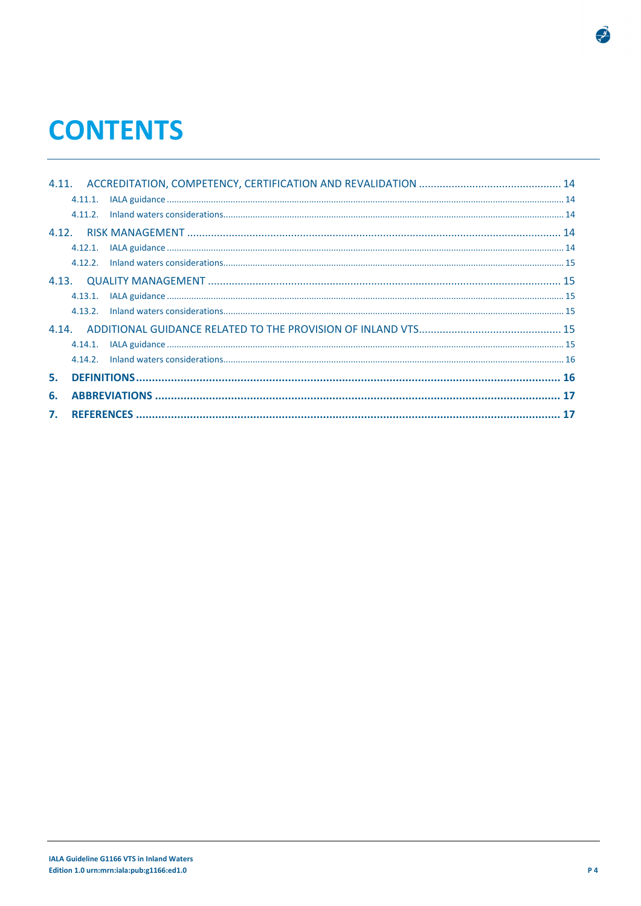# **CONTENTS**

|    | 4.11.1.    |  |
|----|------------|--|
|    |            |  |
|    |            |  |
|    |            |  |
|    |            |  |
|    |            |  |
|    | 4.13.1.    |  |
|    |            |  |
|    |            |  |
|    | $4.14.1$ . |  |
|    |            |  |
|    |            |  |
| 6. |            |  |
|    |            |  |

 $\frac{1}{\sqrt{2}}$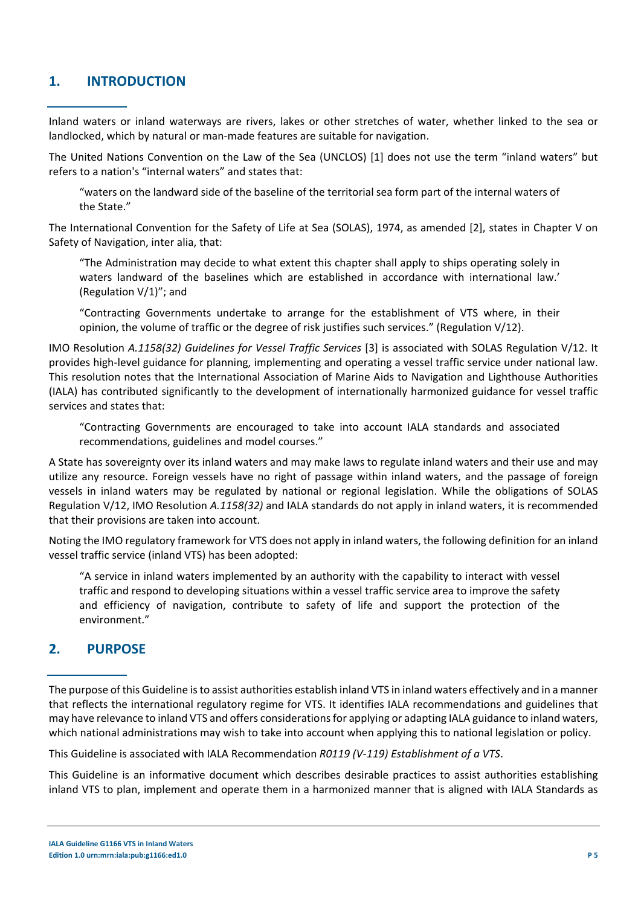# **1. INTRODUCTION**

Inland waters or inland waterways are rivers, lakes or other stretches of water, whether linked to the sea or landlocked, which by natural or man-made features are suitable for navigation.

The United Nations Convention on the Law of the Sea (UNCLOS) [1] does not use the term "inland waters" but refers to a nation's "internal waters" and states that:

"waters on the landward side of the baseline of the territorial sea form part of the internal waters of the State."

The International Convention for the Safety of Life at Sea (SOLAS), 1974, as amended [2], states in Chapter V on Safety of Navigation, inter alia, that:

"The Administration may decide to what extent this chapter shall apply to ships operating solely in waters landward of the baselines which are established in accordance with international law.' (Regulation V/1)"; and

"Contracting Governments undertake to arrange for the establishment of VTS where, in their opinion, the volume of traffic or the degree of risk justifies such services." (Regulation V/12).

IMO Resolution *A.1158(32) Guidelines for Vessel Traffic Services* [3] is associated with SOLAS Regulation V/12. It provides high-level guidance for planning, implementing and operating a vessel traffic service under national law. This resolution notes that the International Association of Marine Aids to Navigation and Lighthouse Authorities (IALA) has contributed significantly to the development of internationally harmonized guidance for vessel traffic services and states that:

"Contracting Governments are encouraged to take into account IALA standards and associated recommendations, guidelines and model courses."

A State has sovereignty over its inland waters and may make laws to regulate inland waters and their use and may utilize any resource. Foreign vessels have no right of passage within inland waters, and the passage of foreign vessels in inland waters may be regulated by national or regional legislation. While the obligations of SOLAS Regulation V/12, IMO Resolution *A.1158(32)* and IALA standards do not apply in inland waters, it is recommended that their provisions are taken into account.

Noting the IMO regulatory framework for VTS does not apply in inland waters, the following definition for an inland vessel traffic service (inland VTS) has been adopted:

"A service in inland waters implemented by an authority with the capability to interact with vessel traffic and respond to developing situations within a vessel traffic service area to improve the safety and efficiency of navigation, contribute to safety of life and support the protection of the environment."

## **2. PURPOSE**

The purpose of this Guideline is to assist authorities establish inland VTS in inland waters effectively and in a manner that reflects the international regulatory regime for VTS. It identifies IALA recommendations and guidelines that may have relevance to inland VTS and offers considerations for applying or adapting IALA guidance to inland waters, which national administrations may wish to take into account when applying this to national legislation or policy.

This Guideline is associated with IALA Recommendation *R0119 (V-119) Establishment of a VTS*.

This Guideline is an informative document which describes desirable practices to assist authorities establishing inland VTS to plan, implement and operate them in a harmonized manner that is aligned with IALA Standards as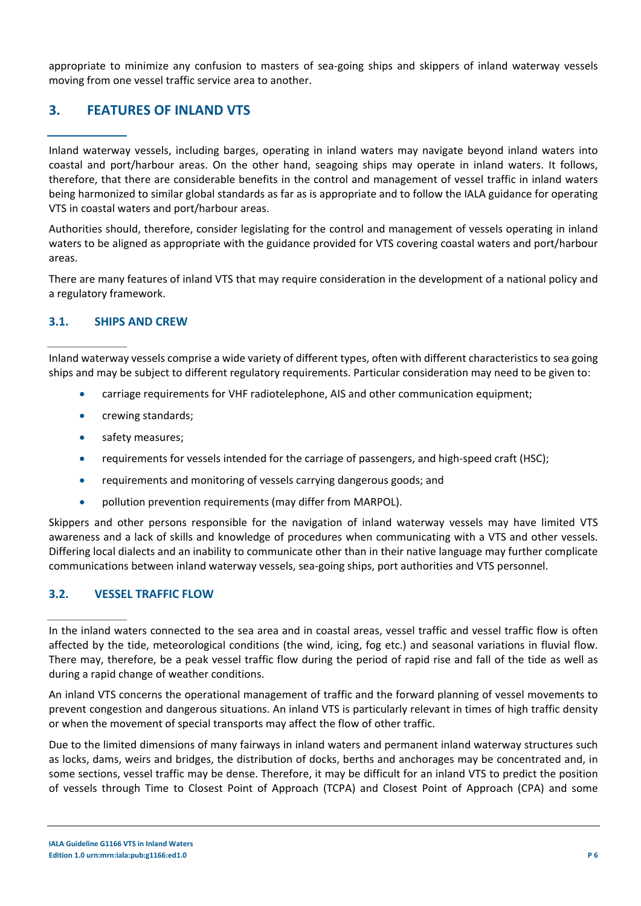appropriate to minimize any confusion to masters of sea-going ships and skippers of inland waterway vessels moving from one vessel traffic service area to another.

# **3. FEATURES OF INLAND VTS**

Inland waterway vessels, including barges, operating in inland waters may navigate beyond inland waters into coastal and port/harbour areas. On the other hand, seagoing ships may operate in inland waters. It follows, therefore, that there are considerable benefits in the control and management of vessel traffic in inland waters being harmonized to similar global standards as far as is appropriate and to follow the IALA guidance for operating VTS in coastal waters and port/harbour areas.

Authorities should, therefore, consider legislating for the control and management of vessels operating in inland waters to be aligned as appropriate with the guidance provided for VTS covering coastal waters and port/harbour areas.

There are many features of inland VTS that may require consideration in the development of a national policy and a regulatory framework.

## **3.1. SHIPS AND CREW**

Inland waterway vessels comprise a wide variety of different types, often with different characteristics to sea going ships and may be subject to different regulatory requirements. Particular consideration may need to be given to:

- carriage requirements for VHF radiotelephone, AIS and other communication equipment;
- crewing standards;
- safety measures;
- requirements for vessels intended for the carriage of passengers, and high-speed craft (HSC);
- requirements and monitoring of vessels carrying dangerous goods; and
- pollution prevention requirements (may differ from MARPOL).

Skippers and other persons responsible for the navigation of inland waterway vessels may have limited VTS awareness and a lack of skills and knowledge of procedures when communicating with a VTS and other vessels. Differing local dialects and an inability to communicate other than in their native language may further complicate communications between inland waterway vessels, sea-going ships, port authorities and VTS personnel.

## **3.2. VESSEL TRAFFIC FLOW**

An inland VTS concerns the operational management of traffic and the forward planning of vessel movements to prevent congestion and dangerous situations. An inland VTS is particularly relevant in times of high traffic density or when the movement of special transports may affect the flow of other traffic.

Due to the limited dimensions of many fairways in inland waters and permanent inland waterway structures such as locks, dams, weirs and bridges, the distribution of docks, berths and anchorages may be concentrated and, in some sections, vessel traffic may be dense. Therefore, it may be difficult for an inland VTS to predict the position of vessels through Time to Closest Point of Approach (TCPA) and Closest Point of Approach (CPA) and some

In the inland waters connected to the sea area and in coastal areas, vessel traffic and vessel traffic flow is often affected by the tide, meteorological conditions (the wind, icing, fog etc.) and seasonal variations in fluvial flow. There may, therefore, be a peak vessel traffic flow during the period of rapid rise and fall of the tide as well as during a rapid change of weather conditions.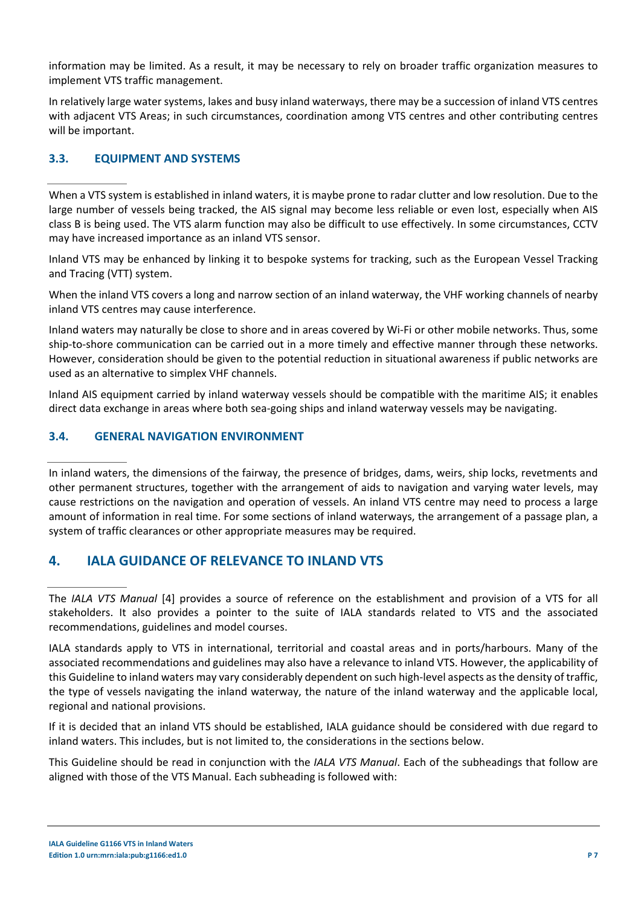information may be limited. As a result, it may be necessary to rely on broader traffic organization measures to implement VTS traffic management.

In relatively large water systems, lakes and busy inland waterways, there may be a succession of inland VTS centres with adjacent VTS Areas; in such circumstances, coordination among VTS centres and other contributing centres will be important.

## **3.3. EQUIPMENT AND SYSTEMS**

When a VTS system is established in inland waters, it is maybe prone to radar clutter and low resolution. Due to the large number of vessels being tracked, the AIS signal may become less reliable or even lost, especially when AIS class B is being used. The VTS alarm function may also be difficult to use effectively. In some circumstances, CCTV may have increased importance as an inland VTS sensor.

Inland VTS may be enhanced by linking it to bespoke systems for tracking, such as the European Vessel Tracking and Tracing (VTT) system.

When the inland VTS covers a long and narrow section of an inland waterway, the VHF working channels of nearby inland VTS centres may cause interference.

Inland waters may naturally be close to shore and in areas covered by Wi-Fi or other mobile networks. Thus, some ship-to-shore communication can be carried out in a more timely and effective manner through these networks. However, consideration should be given to the potential reduction in situational awareness if public networks are used as an alternative to simplex VHF channels.

Inland AIS equipment carried by inland waterway vessels should be compatible with the maritime AIS; it enables direct data exchange in areas where both sea-going ships and inland waterway vessels may be navigating.

## **3.4. GENERAL NAVIGATION ENVIRONMENT**

In inland waters, the dimensions of the fairway, the presence of bridges, dams, weirs, ship locks, revetments and other permanent structures, together with the arrangement of aids to navigation and varying water levels, may cause restrictions on the navigation and operation of vessels. An inland VTS centre may need to process a large amount of information in real time. For some sections of inland waterways, the arrangement of a passage plan, a system of traffic clearances or other appropriate measures may be required.

# **4. IALA GUIDANCE OF RELEVANCE TO INLAND VTS**

The *IALA VTS Manual* [4] provides a source of reference on the establishment and provision of a VTS for all stakeholders. It also provides a pointer to the suite of IALA standards related to VTS and the associated recommendations, guidelines and model courses.

IALA standards apply to VTS in international, territorial and coastal areas and in ports/harbours. Many of the associated recommendations and guidelines may also have a relevance to inland VTS. However, the applicability of this Guideline to inland waters may vary considerably dependent on such high-level aspects as the density of traffic, the type of vessels navigating the inland waterway, the nature of the inland waterway and the applicable local, regional and national provisions.

If it is decided that an inland VTS should be established, IALA guidance should be considered with due regard to inland waters. This includes, but is not limited to, the considerations in the sections below.

This Guideline should be read in conjunction with the *IALA VTS Manual*. Each of the subheadings that follow are aligned with those of the VTS Manual. Each subheading is followed with: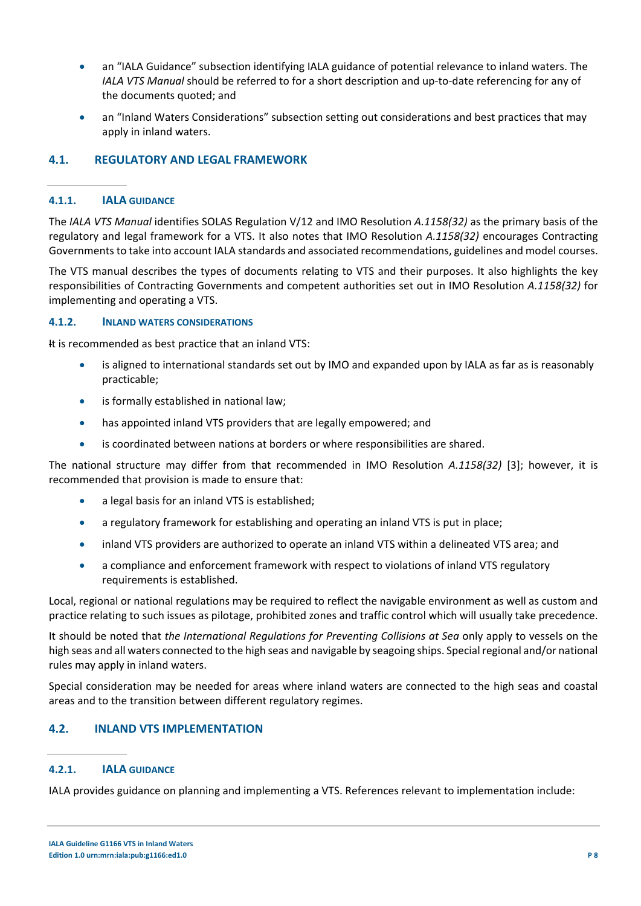- an "IALA Guidance" subsection identifying IALA guidance of potential relevance to inland waters. The *IALA VTS Manual* should be referred to for a short description and up-to-date referencing for any of the documents quoted; and
- an "Inland Waters Considerations" subsection setting out considerations and best practices that may apply in inland waters.

## **4.1. REGULATORY AND LEGAL FRAMEWORK**

### **4.1.1. IALA GUIDANCE**

The *IALA VTS Manual* identifies SOLAS Regulation V/12 and IMO Resolution *A.1158(32)* as the primary basis of the regulatory and legal framework for a VTS. It also notes that IMO Resolution *A.1158(32)* encourages Contracting Governments to take into account IALA standards and associated recommendations, guidelines and model courses.

The VTS manual describes the types of documents relating to VTS and their purposes. It also highlights the key responsibilities of Contracting Governments and competent authorities set out in IMO Resolution *A.1158(32)* for implementing and operating a VTS.

#### **4.1.2. INLAND WATERS CONSIDERATIONS**

It is recommended as best practice that an inland VTS:

- is aligned to international standards set out by IMO and expanded upon by IALA as far as is reasonably practicable;
- is formally established in national law;
- has appointed inland VTS providers that are legally empowered; and
- is coordinated between nations at borders or where responsibilities are shared.

The national structure may differ from that recommended in IMO Resolution *A.1158(32)* [3]; however, it is recommended that provision is made to ensure that:

- a legal basis for an inland VTS is established;
- a regulatory framework for establishing and operating an inland VTS is put in place;
- inland VTS providers are authorized to operate an inland VTS within a delineated VTS area; and
- a compliance and enforcement framework with respect to violations of inland VTS regulatory requirements is established.

Local, regional or national regulations may be required to reflect the navigable environment as well as custom and practice relating to such issues as pilotage, prohibited zones and traffic control which will usually take precedence.

It should be noted that *the International Regulations for Preventing Collisions at Sea* only apply to vessels on the high seas and all waters connected to the high seas and navigable by seagoing ships. Special regional and/or national rules may apply in inland waters.

Special consideration may be needed for areas where inland waters are connected to the high seas and coastal areas and to the transition between different regulatory regimes.

## **4.2. INLAND VTS IMPLEMENTATION**

## **4.2.1. IALA GUIDANCE**

IALA provides guidance on planning and implementing a VTS. References relevant to implementation include: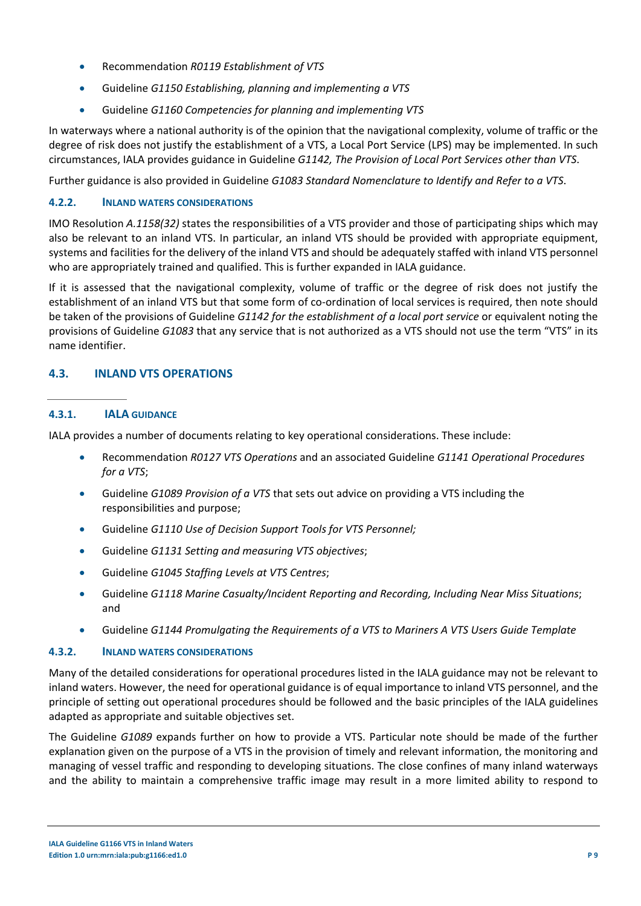- Recommendation *R0119 Establishment of VTS*
- Guideline *G1150 Establishing, planning and implementing a VTS*
- Guideline *G1160 Competencies for planning and implementing VTS*

In waterways where a national authority is of the opinion that the navigational complexity, volume of traffic or the degree of risk does not justify the establishment of a VTS, a Local Port Service (LPS) may be implemented. In such circumstances, IALA provides guidance in Guideline *G1142, The Provision of Local Port Services other than VTS*.

Further guidance is also provided in Guideline *G1083 Standard Nomenclature to Identify and Refer to a VTS*.

## **4.2.2. INLAND WATERS CONSIDERATIONS**

IMO Resolution *A.1158(32)* states the responsibilities of a VTS provider and those of participating ships which may also be relevant to an inland VTS. In particular, an inland VTS should be provided with appropriate equipment, systems and facilities for the delivery of the inland VTS and should be adequately staffed with inland VTS personnel who are appropriately trained and qualified. This is further expanded in IALA guidance.

If it is assessed that the navigational complexity, volume of traffic or the degree of risk does not justify the establishment of an inland VTS but that some form of co-ordination of local services is required, then note should be taken of the provisions of Guideline *G1142 for the establishment of a local port service* or equivalent noting the provisions of Guideline *G1083* that any service that is not authorized as a VTS should not use the term "VTS" in its name identifier.

## **4.3. INLAND VTS OPERATIONS**

## **4.3.1. IALA GUIDANCE**

IALA provides a number of documents relating to key operational considerations. These include:

- Recommendation *R0127 VTS Operations* and an associated Guideline *G1141 Operational Procedures for a VTS*;
- Guideline *G1089 Provision of a VTS* that sets out advice on providing a VTS including the responsibilities and purpose;
- Guideline *G1110 Use of Decision Support Tools for VTS Personnel;*
- Guideline *G1131 Setting and measuring VTS objectives*;
- Guideline *G1045 Staffing Levels at VTS Centres*;
- Guideline *G1118 Marine Casualty/Incident Reporting and Recording, Including Near Miss Situations*; and
- Guideline *G1144 Promulgating the Requirements of a VTS to Mariners A VTS Users Guide Template*

## **4.3.2. INLAND WATERS CONSIDERATIONS**

Many of the detailed considerations for operational procedures listed in the IALA guidance may not be relevant to inland waters. However, the need for operational guidance is of equal importance to inland VTS personnel, and the principle of setting out operational procedures should be followed and the basic principles of the IALA guidelines adapted as appropriate and suitable objectives set.

The Guideline *G1089* expands further on how to provide a VTS. Particular note should be made of the further explanation given on the purpose of a VTS in the provision of timely and relevant information, the monitoring and managing of vessel traffic and responding to developing situations. The close confines of many inland waterways and the ability to maintain a comprehensive traffic image may result in a more limited ability to respond to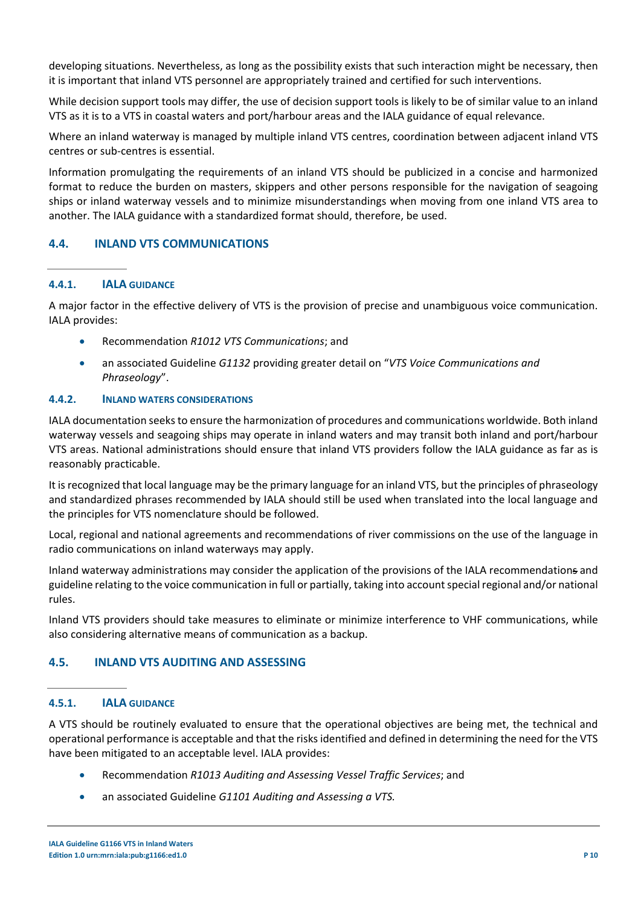developing situations. Nevertheless, as long as the possibility exists that such interaction might be necessary, then it is important that inland VTS personnel are appropriately trained and certified for such interventions.

While decision support tools may differ, the use of decision support tools is likely to be of similar value to an inland VTS as it is to a VTS in coastal waters and port/harbour areas and the IALA guidance of equal relevance.

Where an inland waterway is managed by multiple inland VTS centres, coordination between adjacent inland VTS centres or sub-centres is essential.

Information promulgating the requirements of an inland VTS should be publicized in a concise and harmonized format to reduce the burden on masters, skippers and other persons responsible for the navigation of seagoing ships or inland waterway vessels and to minimize misunderstandings when moving from one inland VTS area to another. The IALA guidance with a standardized format should, therefore, be used.

## **4.4. INLAND VTS COMMUNICATIONS**

#### **4.4.1. IALA GUIDANCE**

A major factor in the effective delivery of VTS is the provision of precise and unambiguous voice communication. IALA provides:

- Recommendation *R1012 VTS Communications*; and
- an associated Guideline *G1132* providing greater detail on "*VTS Voice Communications and Phraseology*".

#### **4.4.2. INLAND WATERS CONSIDERATIONS**

IALA documentation seeks to ensure the harmonization of procedures and communications worldwide. Both inland waterway vessels and seagoing ships may operate in inland waters and may transit both inland and port/harbour VTS areas. National administrations should ensure that inland VTS providers follow the IALA guidance as far as is reasonably practicable.

It is recognized that local language may be the primary language for an inland VTS, but the principles of phraseology and standardized phrases recommended by IALA should still be used when translated into the local language and the principles for VTS nomenclature should be followed.

Local, regional and national agreements and recommendations of river commissions on the use of the language in radio communications on inland waterways may apply.

Inland waterway administrations may consider the application of the provisions of the IALA recommendations and guideline relating to the voice communication in full or partially, taking into account special regional and/or national rules.

Inland VTS providers should take measures to eliminate or minimize interference to VHF communications, while also considering alternative means of communication as a backup.

## **4.5. INLAND VTS AUDITING AND ASSESSING**

#### **4.5.1. IALA GUIDANCE**

A VTS should be routinely evaluated to ensure that the operational objectives are being met, the technical and operational performance is acceptable and that the risks identified and defined in determining the need for the VTS have been mitigated to an acceptable level. IALA provides:

- Recommendation *R1013 Auditing and Assessing Vessel Traffic Services*; and
- an associated Guideline *G1101 Auditing and Assessing a VTS.*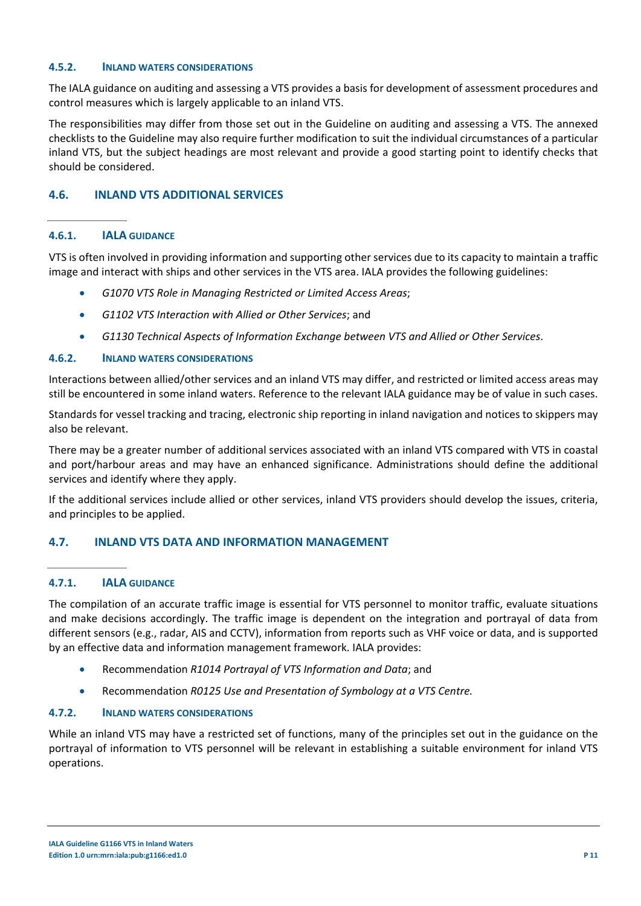#### **4.5.2. INLAND WATERS CONSIDERATIONS**

The IALA guidance on auditing and assessing a VTS provides a basis for development of assessment procedures and control measures which is largely applicable to an inland VTS.

The responsibilities may differ from those set out in the Guideline on auditing and assessing a VTS. The annexed checklists to the Guideline may also require further modification to suit the individual circumstances of a particular inland VTS, but the subject headings are most relevant and provide a good starting point to identify checks that should be considered.

## **4.6. INLAND VTS ADDITIONAL SERVICES**

#### **4.6.1. IALA GUIDANCE**

VTS is often involved in providing information and supporting other services due to its capacity to maintain a traffic image and interact with ships and other services in the VTS area. IALA provides the following guidelines:

- *G1070 VTS Role in Managing Restricted or Limited Access Areas*;
- *G1102 VTS Interaction with Allied or Other Services*; and
- *G1130 Technical Aspects of Information Exchange between VTS and Allied or Other Services*.

#### **4.6.2. INLAND WATERS CONSIDERATIONS**

Interactions between allied/other services and an inland VTS may differ, and restricted or limited access areas may still be encountered in some inland waters. Reference to the relevant IALA guidance may be of value in such cases.

Standards for vessel tracking and tracing, electronic ship reporting in inland navigation and notices to skippers may also be relevant.

There may be a greater number of additional services associated with an inland VTS compared with VTS in coastal and port/harbour areas and may have an enhanced significance. Administrations should define the additional services and identify where they apply.

If the additional services include allied or other services, inland VTS providers should develop the issues, criteria, and principles to be applied.

#### **4.7. INLAND VTS DATA AND INFORMATION MANAGEMENT**

#### **4.7.1. IALA GUIDANCE**

The compilation of an accurate traffic image is essential for VTS personnel to monitor traffic, evaluate situations and make decisions accordingly. The traffic image is dependent on the integration and portrayal of data from different sensors (e.g., radar, AIS and CCTV), information from reports such as VHF voice or data, and is supported by an effective data and information management framework. IALA provides:

- Recommendation *R1014 Portrayal of VTS Information and Data*; and
- Recommendation *R0125 Use and Presentation of Symbology at a VTS Centre.*

#### **4.7.2. INLAND WATERS CONSIDERATIONS**

While an inland VTS may have a restricted set of functions, many of the principles set out in the guidance on the portrayal of information to VTS personnel will be relevant in establishing a suitable environment for inland VTS operations.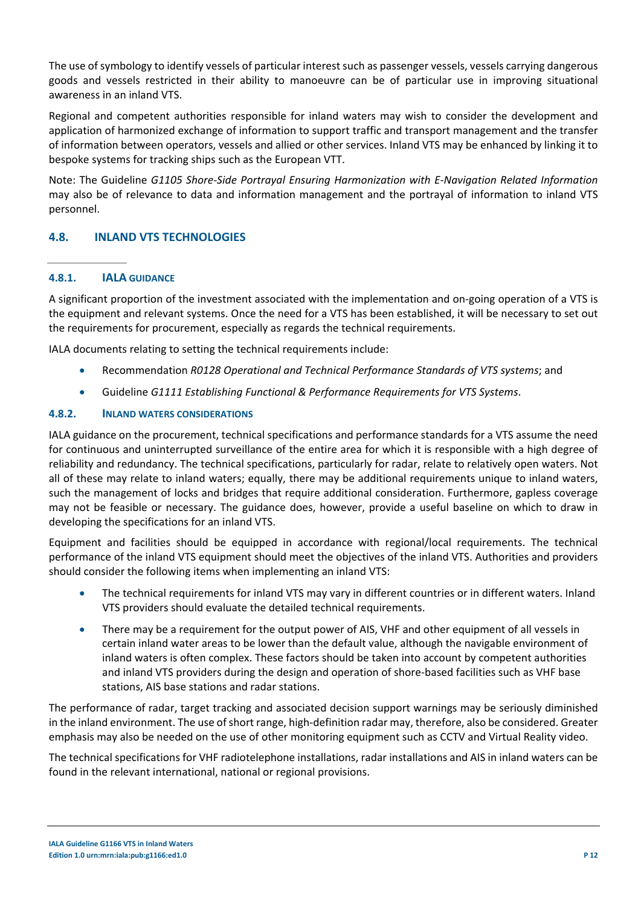The use of symbology to identify vessels of particular interest such as passenger vessels, vessels carrying dangerous goods and vessels restricted in their ability to manoeuvre can be of particular use in improving situational awareness in an inland VTS.

Regional and competent authorities responsible for inland waters may wish to consider the development and application of harmonized exchange of information to support traffic and transport management and the transfer of information between operators, vessels and allied or other services. Inland VTS may be enhanced by linking it to bespoke systems for tracking ships such as the European VTT.

Note: The Guideline *G1105 Shore-Side Portrayal Ensuring Harmonization with E-Navigation Related Information* may also be of relevance to data and information management and the portrayal of information to inland VTS personnel.

## **4.8. INLAND VTS TECHNOLOGIES**

## **4.8.1. IALA GUIDANCE**

A significant proportion of the investment associated with the implementation and on-going operation of a VTS is the equipment and relevant systems. Once the need for a VTS has been established, it will be necessary to set out the requirements for procurement, especially as regards the technical requirements.

IALA documents relating to setting the technical requirements include:

- Recommendation *R0128 Operational and Technical Performance Standards of VTS systems*; and
- Guideline *G1111 Establishing Functional & Performance Requirements for VTS Systems*.

#### **4.8.2. INLAND WATERS CONSIDERATIONS**

IALA guidance on the procurement, technical specifications and performance standards for a VTS assume the need for continuous and uninterrupted surveillance of the entire area for which it is responsible with a high degree of reliability and redundancy. The technical specifications, particularly for radar, relate to relatively open waters. Not all of these may relate to inland waters; equally, there may be additional requirements unique to inland waters, such the management of locks and bridges that require additional consideration. Furthermore, gapless coverage may not be feasible or necessary. The guidance does, however, provide a useful baseline on which to draw in developing the specifications for an inland VTS.

Equipment and facilities should be equipped in accordance with regional/local requirements. The technical performance of the inland VTS equipment should meet the objectives of the inland VTS. Authorities and providers should consider the following items when implementing an inland VTS:

- The technical requirements for inland VTS may vary in different countries or in different waters. Inland VTS providers should evaluate the detailed technical requirements.
- There may be a requirement for the output power of AIS, VHF and other equipment of all vessels in certain inland water areas to be lower than the default value, although the navigable environment of inland waters is often complex. These factors should be taken into account by competent authorities and inland VTS providers during the design and operation of shore-based facilities such as VHF base stations, AIS base stations and radar stations.

The performance of radar, target tracking and associated decision support warnings may be seriously diminished in the inland environment. The use of short range, high-definition radar may, therefore, also be considered. Greater emphasis may also be needed on the use of other monitoring equipment such as CCTV and Virtual Reality video.

The technical specifications for VHF radiotelephone installations, radar installations and AIS in inland waters can be found in the relevant international, national or regional provisions.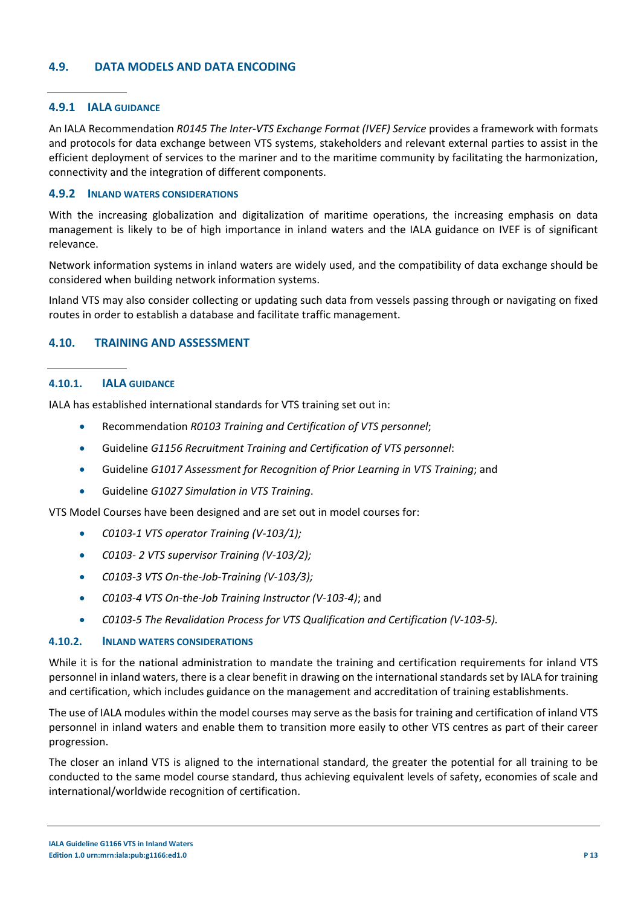### **4.9. DATA MODELS AND DATA ENCODING**

#### **4.9.1 IALA GUIDANCE**

An IALA Recommendation *R0145 The Inter-VTS Exchange Format (IVEF) Service* provides a framework with formats and protocols for data exchange between VTS systems, stakeholders and relevant external parties to assist in the efficient deployment of services to the mariner and to the maritime community by facilitating the harmonization, connectivity and the integration of different components.

#### **4.9.2 INLAND WATERS CONSIDERATIONS**

With the increasing globalization and digitalization of maritime operations, the increasing emphasis on data management is likely to be of high importance in inland waters and the IALA guidance on IVEF is of significant relevance.

Network information systems in inland waters are widely used, and the compatibility of data exchange should be considered when building network information systems.

Inland VTS may also consider collecting or updating such data from vessels passing through or navigating on fixed routes in order to establish a database and facilitate traffic management.

#### **4.10. TRAINING AND ASSESSMENT**

#### **4.10.1. IALA GUIDANCE**

IALA has established international standards for VTS training set out in:

- Recommendation *R0103 Training and Certification of VTS personnel*;
- Guideline *G1156 Recruitment Training and Certification of VTS personnel*:
- Guideline *G1017 Assessment for Recognition of Prior Learning in VTS Training*; and
- Guideline *G1027 Simulation in VTS Training*.

VTS Model Courses have been designed and are set out in model courses for:

- *C0103-1 VTS operator Training (V-103/1);*
- *C0103- 2 VTS supervisor Training (V-103/2);*
- *C0103-3 VTS On-the-Job-Training (V-103/3);*
- *C0103-4 VTS On-the-Job Training Instructor (V-103-4)*; and
- *C0103-5 The Revalidation Process for VTS Qualification and Certification (V-103-5).*

#### **4.10.2. INLAND WATERS CONSIDERATIONS**

While it is for the national administration to mandate the training and certification requirements for inland VTS personnel in inland waters, there is a clear benefit in drawing on the international standards set by IALA for training and certification, which includes guidance on the management and accreditation of training establishments.

The use of IALA modules within the model courses may serve as the basis for training and certification of inland VTS personnel in inland waters and enable them to transition more easily to other VTS centres as part of their career progression.

The closer an inland VTS is aligned to the international standard, the greater the potential for all training to be conducted to the same model course standard, thus achieving equivalent levels of safety, economies of scale and international/worldwide recognition of certification.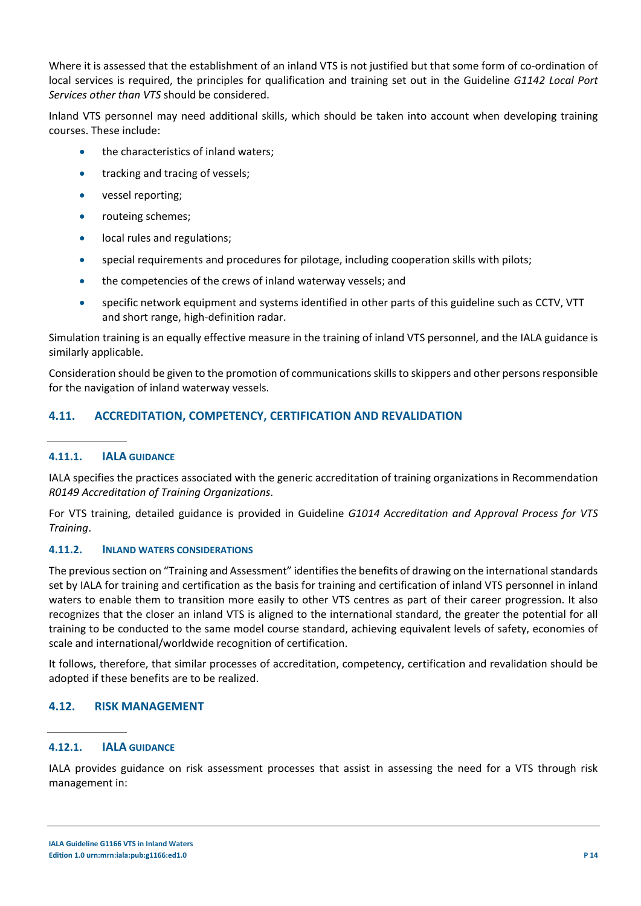Where it is assessed that the establishment of an inland VTS is not justified but that some form of co-ordination of local services is required, the principles for qualification and training set out in the Guideline *G1142 Local Port Services other than VTS* should be considered.

Inland VTS personnel may need additional skills, which should be taken into account when developing training courses. These include:

- the characteristics of inland waters;
- tracking and tracing of vessels;
- vessel reporting;
- routeing schemes;
- local rules and regulations;
- special requirements and procedures for pilotage, including cooperation skills with pilots;
- the competencies of the crews of inland waterway vessels; and
- specific network equipment and systems identified in other parts of this guideline such as CCTV, VTT and short range, high-definition radar.

Simulation training is an equally effective measure in the training of inland VTS personnel, and the IALA guidance is similarly applicable.

Consideration should be given to the promotion of communications skills to skippers and other persons responsible for the navigation of inland waterway vessels.

## **4.11. ACCREDITATION, COMPETENCY, CERTIFICATION AND REVALIDATION**

## **4.11.1. IALA GUIDANCE**

IALA specifies the practices associated with the generic accreditation of training organizations in Recommendation *R0149 Accreditation of Training Organizations*.

For VTS training, detailed guidance is provided in Guideline *G1014 Accreditation and Approval Process for VTS Training*.

## **4.11.2. INLAND WATERS CONSIDERATIONS**

The previous section on "Training and Assessment" identifies the benefits of drawing on the international standards set by IALA for training and certification as the basis for training and certification of inland VTS personnel in inland waters to enable them to transition more easily to other VTS centres as part of their career progression. It also recognizes that the closer an inland VTS is aligned to the international standard, the greater the potential for all training to be conducted to the same model course standard, achieving equivalent levels of safety, economies of scale and international/worldwide recognition of certification.

It follows, therefore, that similar processes of accreditation, competency, certification and revalidation should be adopted if these benefits are to be realized.

## **4.12. RISK MANAGEMENT**

## **4.12.1. IALA GUIDANCE**

IALA provides guidance on risk assessment processes that assist in assessing the need for a VTS through risk management in: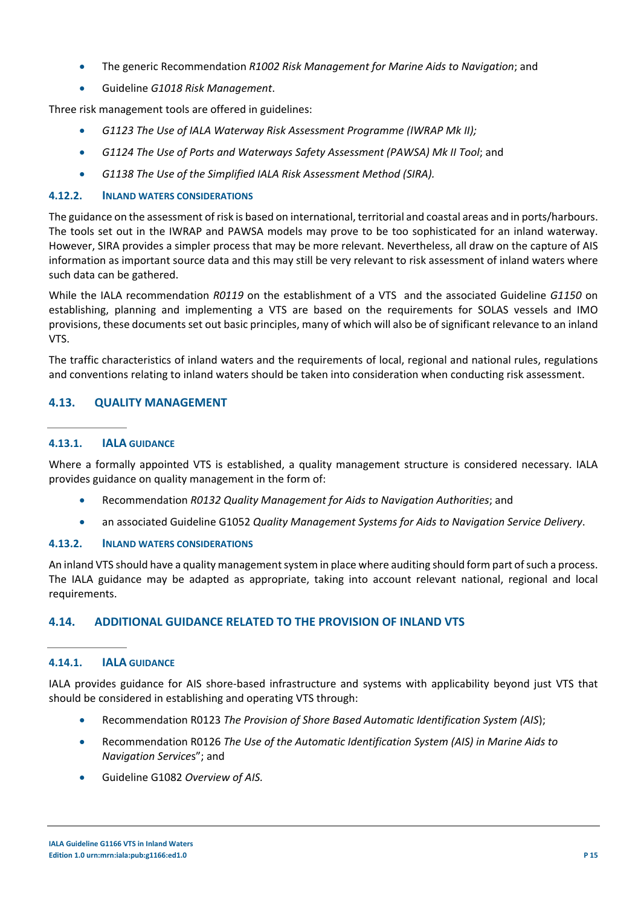- The generic Recommendation *R1002 Risk Management for Marine Aids to Navigation*; and
- Guideline *G1018 Risk Management*.

Three risk management tools are offered in guidelines:

- *G1123 The Use of IALA Waterway Risk Assessment Programme (IWRAP Mk II);*
- *G1124 The Use of Ports and Waterways Safety Assessment (PAWSA) Mk II Tool*; and
- *G1138 The Use of the Simplified IALA Risk Assessment Method (SIRA).*

#### **4.12.2. INLAND WATERS CONSIDERATIONS**

The guidance on the assessment of risk is based on international, territorial and coastal areas and in ports/harbours. The tools set out in the IWRAP and PAWSA models may prove to be too sophisticated for an inland waterway. However, SIRA provides a simpler process that may be more relevant. Nevertheless, all draw on the capture of AIS information as important source data and this may still be very relevant to risk assessment of inland waters where such data can be gathered.

While the IALA recommendation *R0119* on the establishment of a VTS and the associated Guideline *G1150* on establishing, planning and implementing a VTS are based on the requirements for SOLAS vessels and IMO provisions, these documents set out basic principles, many of which will also be of significant relevance to an inland VTS.

The traffic characteristics of inland waters and the requirements of local, regional and national rules, regulations and conventions relating to inland waters should be taken into consideration when conducting risk assessment.

#### **4.13. QUALITY MANAGEMENT**

#### **4.13.1. IALA GUIDANCE**

Where a formally appointed VTS is established, a quality management structure is considered necessary. IALA provides guidance on quality management in the form of:

- Recommendation *R0132 Quality Management for Aids to Navigation Authorities*; and
- an associated Guideline G1052 *Quality Management Systems for Aids to Navigation Service Delivery*.

#### **4.13.2. INLAND WATERS CONSIDERATIONS**

An inland VTS should have a quality management system in place where auditing should form part of such a process. The IALA guidance may be adapted as appropriate, taking into account relevant national, regional and local requirements.

## **4.14. ADDITIONAL GUIDANCE RELATED TO THE PROVISION OF INLAND VTS**

#### **4.14.1. IALA GUIDANCE**

IALA provides guidance for AIS shore-based infrastructure and systems with applicability beyond just VTS that should be considered in establishing and operating VTS through:

- Recommendation R0123 *The Provision of Shore Based Automatic Identification System (AIS*);
- Recommendation R0126 *The Use of the Automatic Identification System (AIS) in Marine Aids to Navigation Service*s"; and
- Guideline G1082 *Overview of AIS.*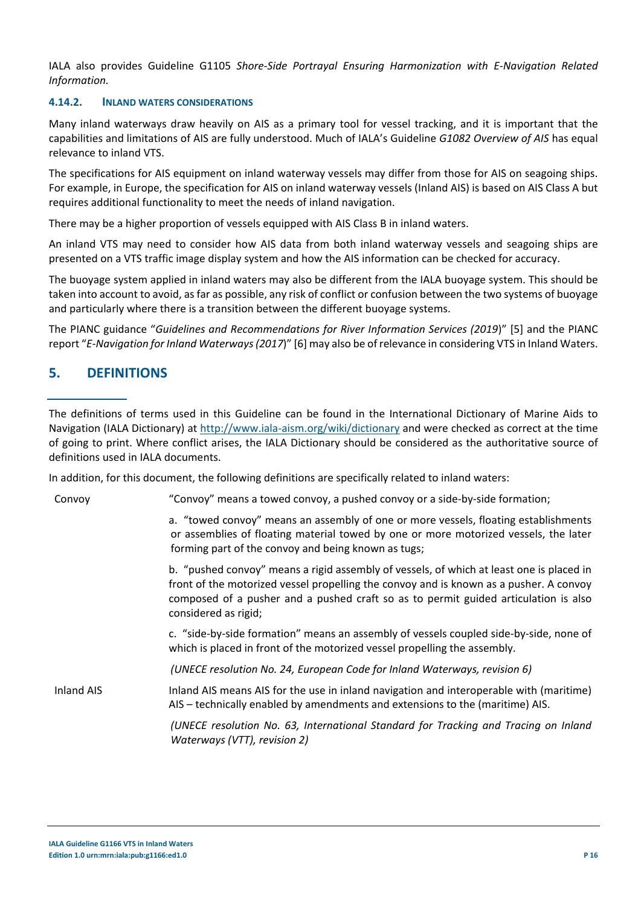IALA also provides Guideline G1105 *Shore-Side Portrayal Ensuring Harmonization with E-Navigation Related Information.*

#### **4.14.2. INLAND WATERS CONSIDERATIONS**

Many inland waterways draw heavily on AIS as a primary tool for vessel tracking, and it is important that the capabilities and limitations of AIS are fully understood. Much of IALA's Guideline *G1082 Overview of AIS* has equal relevance to inland VTS.

The specifications for AIS equipment on inland waterway vessels may differ from those for AIS on seagoing ships. For example, in Europe, the specification for AIS on inland waterway vessels (Inland AIS) is based on AIS Class A but requires additional functionality to meet the needs of inland navigation.

There may be a higher proportion of vessels equipped with AIS Class B in inland waters.

An inland VTS may need to consider how AIS data from both inland waterway vessels and seagoing ships are presented on a VTS traffic image display system and how the AIS information can be checked for accuracy.

The buoyage system applied in inland waters may also be different from the IALA buoyage system. This should be taken into account to avoid, as far as possible, any risk of conflict or confusion between the two systems of buoyage and particularly where there is a transition between the different buoyage systems.

The PIANC guidance "*Guidelines and Recommendations for River Information Services (2019*)" [5] and the PIANC report "*E-Navigation for Inland Waterways (2017*)" [6] may also be of relevance in considering VTS in Inland Waters.

# **5. DEFINITIONS**

The definitions of terms used in this Guideline can be found in the International Dictionary of Marine Aids to Navigation (IALA Dictionary) at<http://www.iala-aism.org/wiki/dictionary> and were checked as correct at the time of going to print. Where conflict arises, the IALA Dictionary should be considered as the authoritative source of definitions used in IALA documents.

In addition, for this document, the following definitions are specifically related to inland waters:

| Convoy            | "Convoy" means a towed convoy, a pushed convoy or a side-by-side formation;                                                                                                                                                                                                                       |
|-------------------|---------------------------------------------------------------------------------------------------------------------------------------------------------------------------------------------------------------------------------------------------------------------------------------------------|
|                   | a. "towed convoy" means an assembly of one or more vessels, floating establishments<br>or assemblies of floating material towed by one or more motorized vessels, the later<br>forming part of the convoy and being known as tugs;                                                                |
|                   | b. "pushed convoy" means a rigid assembly of vessels, of which at least one is placed in<br>front of the motorized vessel propelling the convoy and is known as a pusher. A convoy<br>composed of a pusher and a pushed craft so as to permit guided articulation is also<br>considered as rigid; |
|                   | c. "side-by-side formation" means an assembly of vessels coupled side-by-side, none of<br>which is placed in front of the motorized vessel propelling the assembly.                                                                                                                               |
|                   | (UNECE resolution No. 24, European Code for Inland Waterways, revision 6)                                                                                                                                                                                                                         |
| <b>Inland AIS</b> | Inland AIS means AIS for the use in inland navigation and interoperable with (maritime)<br>AIS – technically enabled by amendments and extensions to the (maritime) AIS.                                                                                                                          |
|                   | (UNECE resolution No. 63, International Standard for Tracking and Tracing on Inland<br>Waterways (VTT), revision 2)                                                                                                                                                                               |
|                   |                                                                                                                                                                                                                                                                                                   |